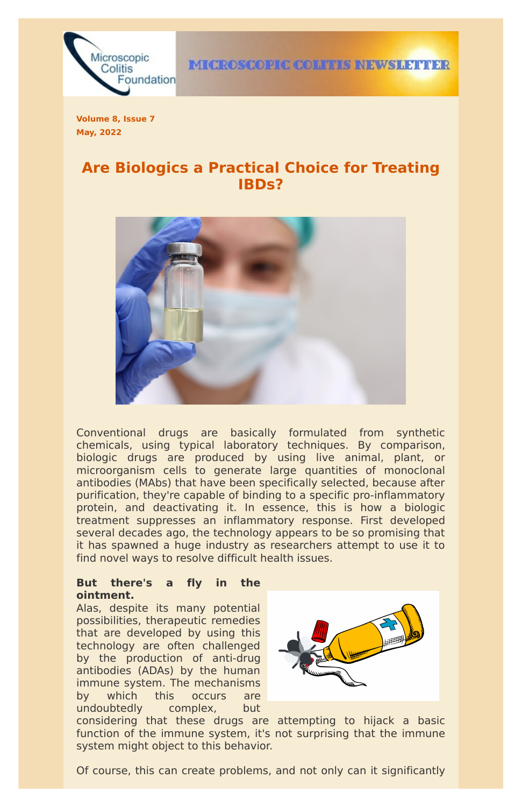

**IMICROSCOPIC COLITIES INEWSILETTIER** 

**Volume 8, Issue 7 May, 2022**

# **Are Biologics a Practical Choice for Treating IBDs?**



Conventional drugs are basically formulated from synthetic chemicals, using typical laboratory techniques. By comparison, biologic drugs are produced by using live animal, plant, or microorganism cells to generate large quantities of monoclonal antibodies (MAbs) that have been specifically selected, because after purification, they're capable of binding to a specific pro-inflammatory protein, and deactivating it. In essence, this is how a biologic treatment suppresses an inflammatory response. First developed several decades ago, the technology appears to be so promising that it has spawned a huge industry as researchers attempt to use it to find novel ways to resolve difficult health issues.

## **But there's a fly in the**

#### **ointment.**

Alas, despite its many potential possibilities, therapeutic remedies that are developed by using this technology are often challenged by the production of anti-drug antibodies (ADAs) by the human immune system. The mechanisms by which this occurs are undoubtedly complex, but



considering that these drugs are attempting to hijack a basic function of the immune system, it's not surprising that the immune system might object to this behavior.

Of course, this can create problems, and not only can it significantly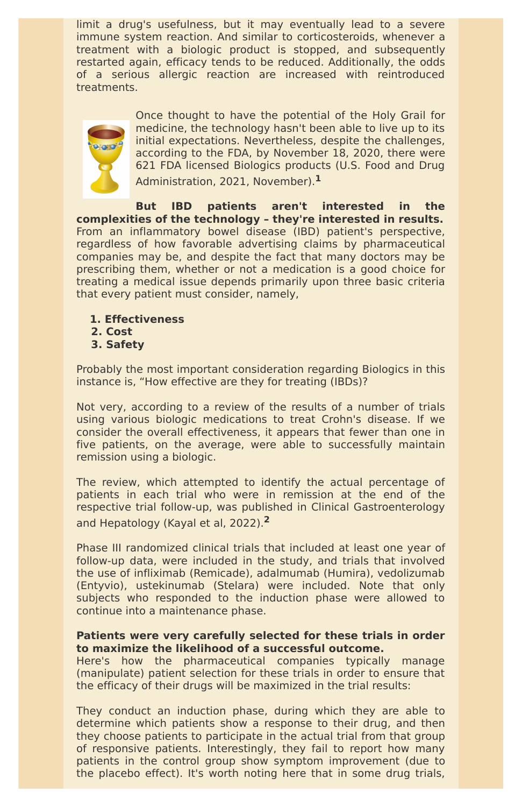limit a drug's usefulness, but it may eventually lead to a severe immune system reaction. And similar to corticosteroids, whenever a treatment with a biologic product is stopped, and subsequently restarted again, efficacy tends to be reduced. Additionally, the odds of a serious allergic reaction are increased with reintroduced treatments.



Once thought to have the potential of the Holy Grail for medicine, the technology hasn't been able to live up to its initial expectations. Nevertheless, despite the challenges, according to the FDA, by November 18, 2020, there were 621 FDA licensed Biologics products (U.S. Food and Drug Administration, 2021, November). **1**

**But IBD patients aren't interested in the complexities of the technology – they're interested in results.** From an inflammatory bowel disease (IBD) patient's perspective, regardless of how favorable advertising claims by pharmaceutical companies may be, and despite the fact that many doctors may be prescribing them, whether or not a medication is a good choice for treating a medical issue depends primarily upon three basic criteria that every patient must consider, namely,

- **1. Effectiveness**
- **2. Cost**
- **3. Safety**

Probably the most important consideration regarding Biologics in this instance is, "How effective are they for treating (IBDs)?

Not very, according to a review of the results of a number of trials using various biologic medications to treat Crohn's disease. If we consider the overall effectiveness, it appears that fewer than one in five patients, on the average, were able to successfully maintain remission using a biologic.

The review, which attempted to identify the actual percentage of patients in each trial who were in remission at the end of the respective trial follow-up, was published in Clinical Gastroenterology and Hepatology (Kayal et al, 2022). **2**

Phase III randomized clinical trials that included at least one year of follow-up data, were included in the study, and trials that involved the use of infliximab (Remicade), adalmumab (Humira), vedolizumab (Entyvio), ustekinumab (Stelara) were included. Note that only subjects who responded to the induction phase were allowed to continue into a maintenance phase.

### **Patients were very carefully selected for these trials in order to maximize the likelihood of a successful outcome.**

Here's how the pharmaceutical companies typically manage (manipulate) patient selection for these trials in order to ensure that the efficacy of their drugs will be maximized in the trial results:

They conduct an induction phase, during which they are able to determine which patients show a response to their drug, and then they choose patients to participate in the actual trial from that group of responsive patients. Interestingly, they fail to report how many patients in the control group show symptom improvement (due to the placebo effect). It's worth noting here that in some drug trials,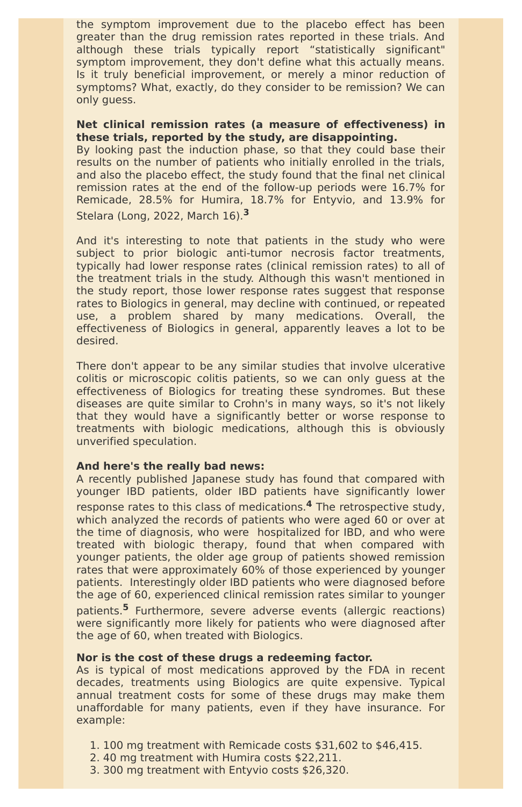the symptom improvement due to the placebo effect has been greater than the drug remission rates reported in these trials. And although these trials typically report "statistically significant" symptom improvement, they don't define what this actually means. Is it truly beneficial improvement, or merely a minor reduction of symptoms? What, exactly, do they consider to be remission? We can only guess.

## **Net clinical remission rates (a measure of effectiveness) in these trials, reported by the study, are disappointing.**

By looking past the induction phase, so that they could base their results on the number of patients who initially enrolled in the trials, and also the placebo effect, the study found that the final net clinical remission rates at the end of the follow-up periods were 16.7% for Remicade, 28.5% for Humira, 18.7% for Entyvio, and 13.9% for Stelara (Long, 2022, March 16). **3**

And it's interesting to note that patients in the study who were subject to prior biologic anti-tumor necrosis factor treatments, typically had lower response rates (clinical remission rates) to all of the treatment trials in the study. Although this wasn't mentioned in the study report, those lower response rates suggest that response rates to Biologics in general, may decline with continued, or repeated use, a problem shared by many medications. Overall, the effectiveness of Biologics in general, apparently leaves a lot to be desired.

There don't appear to be any similar studies that involve ulcerative colitis or microscopic colitis patients, so we can only guess at the effectiveness of Biologics for treating these syndromes. But these diseases are quite similar to Crohn's in many ways, so it's not likely that they would have a significantly better or worse response to treatments with biologic medications, although this is obviously unverified speculation.

#### **And here's the really bad news:**

A recently published Japanese study has found that compared with younger IBD patients, older IBD patients have significantly lower response rates to this class of medications. **<sup>4</sup>** The retrospective study, which analyzed the records of patients who were aged 60 or over at the time of diagnosis, who were hospitalized for IBD, and who were treated with biologic therapy, found that when compared with younger patients, the older age group of patients showed remission rates that were approximately 60% of those experienced by younger patients. Interestingly older IBD patients who were diagnosed before the age of 60, experienced clinical remission rates similar to younger patients. **<sup>5</sup>** Furthermore, severe adverse events (allergic reactions) were significantly more likely for patients who were diagnosed after the age of 60, when treated with Biologics.

#### **Nor is the cost of these drugs a redeeming factor.**

As is typical of most medications approved by the FDA in recent decades, treatments using Biologics are quite expensive. Typical annual treatment costs for some of these drugs may make them unaffordable for many patients, even if they have insurance. For example:

1. 100 mg treatment with Remicade costs \$31,602 to \$46,415. 2. 40 mg treatment with Humira costs \$22,211. 3. 300 mg treatment with Entyvio costs \$26,320.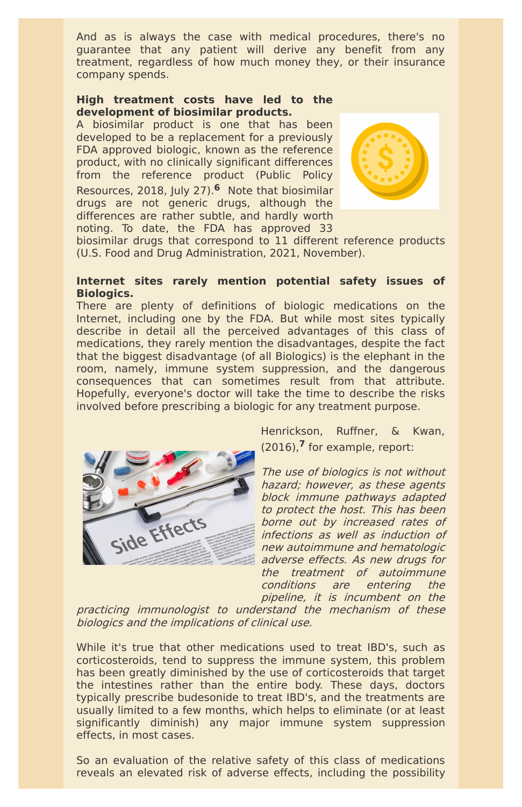And as is always the case with medical procedures, there's no guarantee that any patient will derive any benefit from any treatment, regardless of how much money they, or their insurance company spends.

## **High treatment costs have led to the development of biosimilar products.**

A biosimilar product is one that has been developed to be a replacement for a previously FDA approved biologic, known as the reference product, with no clinically significant differences from the reference product (Public Policy Resources, 2018, July 27). **<sup>6</sup>** Note that biosimilar drugs are not generic drugs, although the differences are rather subtle, and hardly worth noting. To date, the FDA has approved 33



biosimilar drugs that correspond to 11 different reference products (U.S. Food and Drug Administration, 2021, November).

#### **Internet sites rarely mention potential safety issues of Biologics.**

There are plenty of definitions of biologic medications on the Internet, including one by the FDA. But while most sites typically describe in detail all the perceived advantages of this class of medications, they rarely mention the disadvantages, despite the fact that the biggest disadvantage (of all Biologics) is the elephant in the room, namely, immune system suppression, and the dangerous consequences that can sometimes result from that attribute. Hopefully, everyone's doctor will take the time to describe the risks involved before prescribing a biologic for any treatment purpose.



Henrickson, Ruffner, & Kwan, (2016), **<sup>7</sup>** for example, report:

The use of biologics is not without hazard; however, as these agents block immune pathways adapted to protect the host. This has been borne out by increased rates of infections as well as induction of new autoimmune and hematologic adverse effects. As new drugs for the treatment of autoimmune conditions are entering the

pipeline, it is incumbent on the practicing immunologist to understand the mechanism of these biologics and the implications of clinical use.

While it's true that other medications used to treat IBD's, such as corticosteroids, tend to suppress the immune system, this problem has been greatly diminished by the use of corticosteroids that target the intestines rather than the entire body. These days, doctors typically prescribe budesonide to treat IBD's, and the treatments are usually limited to a few months, which helps to eliminate (or at least significantly diminish) any major immune system suppression effects, in most cases.

So an evaluation of the relative safety of this class of medications reveals an elevated risk of adverse effects, including the possibility